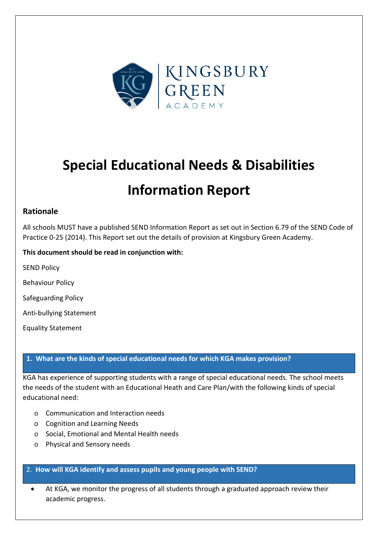

# **Special Educational Needs & Disabilities Information Report**

# **Rationale**

All schools MUST have a published SEND Information Report as set out in Section 6.79 of the SEND Code of Practice 0-25 (2014). This Report set out the details of provision at Kingsbury Green Academy.

## **This document should be read in conjunction with:**

SEND Policy

Behaviour Policy

Safeguarding Policy

Anti-bullying Statement

Equality Statement

## **1. What are the kinds of special educational needs for which KGA makes provision?**

KGA has experience of supporting students with a range of special educational needs. The school meets the needs of the student with an Educational Heath and Care Plan/with the following kinds of special educational need:

- o Communication and Interaction needs
- o Cognition and Learning Needs
- o Social, Emotional and Mental Health needs
- o Physical and Sensory needs

#### 2. **How will KGA identify and assess pupils and young people with SEND?**

• At KGA, we monitor the progress of all students through a graduated approach review their academic progress.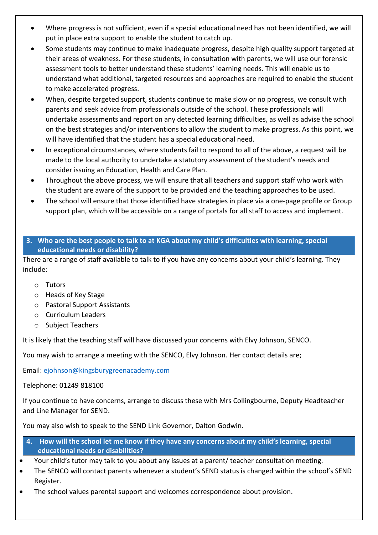- Where progress is not sufficient, even if a special educational need has not been identified, we will put in place extra support to enable the student to catch up.
- Some students may continue to make inadequate progress, despite high quality support targeted at their areas of weakness. For these students, in consultation with parents, we will use our forensic assessment tools to better understand these students' learning needs. This will enable us to understand what additional, targeted resources and approaches are required to enable the student to make accelerated progress.
- When, despite targeted support, students continue to make slow or no progress, we consult with parents and seek advice from professionals outside of the school. These professionals will undertake assessments and report on any detected learning difficulties, as well as advise the school on the best strategies and/or interventions to allow the student to make progress. As this point, we will have identified that the student has a special educational need.
- In exceptional circumstances, where students fail to respond to all of the above, a request will be made to the local authority to undertake a statutory assessment of the student's needs and consider issuing an Education, Health and Care Plan.
- Throughout the above process, we will ensure that all teachers and support staff who work with the student are aware of the support to be provided and the teaching approaches to be used.
- The school will ensure that those identified have strategies in place via a one-page profile or Group support plan, which will be accessible on a range of portals for all staff to access and implement.

## **3. Who are the best people to talk to at KGA about my child's difficulties with learning, special educational needs or disability?**

There are a range of staff available to talk to if you have any concerns about your child's learning. They include:

- o Tutors
- o Heads of Key Stage
- o Pastoral Support Assistants
- o Curriculum Leaders
- o Subject Teachers

It is likely that the teaching staff will have discussed your concerns with Elvy Johnson, SENCO.

You may wish to arrange a meeting with the SENCO, Elvy Johnson. Her contact details are;

Email: [ejohnson@kingsburygreenacademy.com](mailto:ejohnson@kingsburygreenacademy.com) 

Telephone: 01249 818100

If you continue to have concerns, arrange to discuss these with Mrs Collingbourne, Deputy Headteacher and Line Manager for SEND.

You may also wish to speak to the SEND Link Governor, Dalton Godwin.

- **4. How will the school let me know if they have any concerns about my child's learning, special educational needs or disabilities?**
- Your child's tutor may talk to you about any issues at a parent/ teacher consultation meeting.
- The SENCO will contact parents whenever a student's SEND status is changed within the school's SEND Register.
- The school values parental support and welcomes correspondence about provision.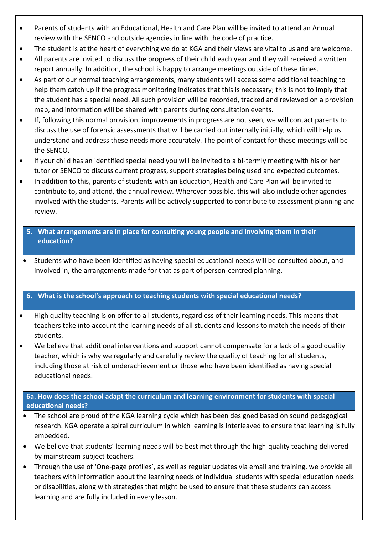- Parents of students with an Educational, Health and Care Plan will be invited to attend an Annual review with the SENCO and outside agencies in line with the code of practice.
- The student is at the heart of everything we do at KGA and their views are vital to us and are welcome.
- All parents are invited to discuss the progress of their child each year and they will received a written report annually. In addition, the school is happy to arrange meetings outside of these times.
- As part of our normal teaching arrangements, many students will access some additional teaching to help them catch up if the progress monitoring indicates that this is necessary; this is not to imply that the student has a special need. All such provision will be recorded, tracked and reviewed on a provision map, and information will be shared with parents during consultation events.
- If, following this normal provision, improvements in progress are not seen, we will contact parents to discuss the use of forensic assessments that will be carried out internally initially, which will help us understand and address these needs more accurately. The point of contact for these meetings will be the SENCO.
- If your child has an identified special need you will be invited to a bi-termly meeting with his or her tutor or SENCO to discuss current progress, support strategies being used and expected outcomes.
- In addition to this, parents of students with an Education, Health and Care Plan will be invited to contribute to, and attend, the annual review. Wherever possible, this will also include other agencies involved with the students. Parents will be actively supported to contribute to assessment planning and review.
	- **5. What arrangements are in place for consulting young people and involving them in their education?**
- Students who have been identified as having special educational needs will be consulted about, and involved in, the arrangements made for that as part of person-centred planning.

# **6. What is the school's approach to teaching students with special educational needs?**

- High quality teaching is on offer to all students, regardless of their learning needs. This means that teachers take into account the learning needs of all students and lessons to match the needs of their students.
- We believe that additional interventions and support cannot compensate for a lack of a good quality teacher, which is why we regularly and carefully review the quality of teaching for all students, including those at risk of underachievement or those who have been identified as having special educational needs.

## **6a. How does the school adapt the curriculum and learning environment for students with special educational needs?**

- The school are proud of the KGA learning cycle which has been designed based on sound pedagogical research. KGA operate a spiral curriculum in which learning is interleaved to ensure that learning is fully embedded.
- We believe that students' learning needs will be best met through the high-quality teaching delivered by mainstream subject teachers.
- Through the use of 'One-page profiles', as well as regular updates via email and training, we provide all teachers with information about the learning needs of individual students with special education needs or disabilities, along with strategies that might be used to ensure that these students can access learning and are fully included in every lesson.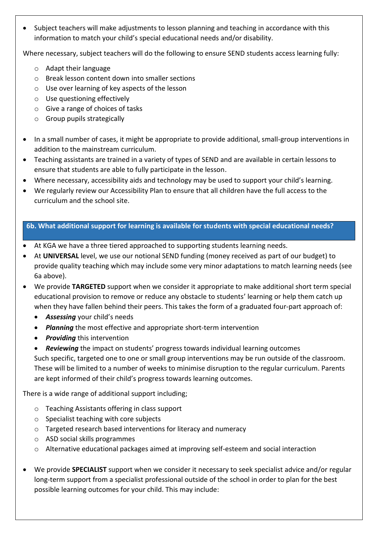• Subject teachers will make adjustments to lesson planning and teaching in accordance with this information to match your child's special educational needs and/or disability.

Where necessary, subject teachers will do the following to ensure SEND students access learning fully:

- o Adapt their language
- o Break lesson content down into smaller sections
- o Use over learning of key aspects of the lesson
- o Use questioning effectively
- o Give a range of choices of tasks
- o Group pupils strategically
- In a small number of cases, it might be appropriate to provide additional, small-group interventions in addition to the mainstream curriculum.
- Teaching assistants are trained in a variety of types of SEND and are available in certain lessons to ensure that students are able to fully participate in the lesson.
- Where necessary, accessibility aids and technology may be used to support your child's learning.
- We regularly review our Accessibility Plan to ensure that all children have the full access to the curriculum and the school site.

## **6b. What additional support for learning is available for students with special educational needs?**

- At KGA we have a three tiered approached to supporting students learning needs.
- At **UNIVERSAL** level, we use our notional SEND funding (money received as part of our budget) to provide quality teaching which may include some very minor adaptations to match learning needs (see 6a above).
- We provide **TARGETED** support when we consider it appropriate to make additional short term special educational provision to remove or reduce any obstacle to students' learning or help them catch up when they have fallen behind their peers. This takes the form of a graduated four-part approach of:
	- *Assessing* your child's needs
	- *Planning* the most effective and appropriate short-term intervention
	- *Providing* this intervention
	- *Reviewing* the impact on students' progress towards individual learning outcomes

Such specific, targeted one to one or small group interventions may be run outside of the classroom. These will be limited to a number of weeks to minimise disruption to the regular curriculum. Parents are kept informed of their child's progress towards learning outcomes.

There is a wide range of additional support including;

- o Teaching Assistants offering in class support
- o Specialist teaching with core subjects
- o Targeted research based interventions for literacy and numeracy
- o ASD social skills programmes
- o Alternative educational packages aimed at improving self-esteem and social interaction
- We provide **SPECIALIST** support when we consider it necessary to seek specialist advice and/or regular long-term support from a specialist professional outside of the school in order to plan for the best possible learning outcomes for your child. This may include: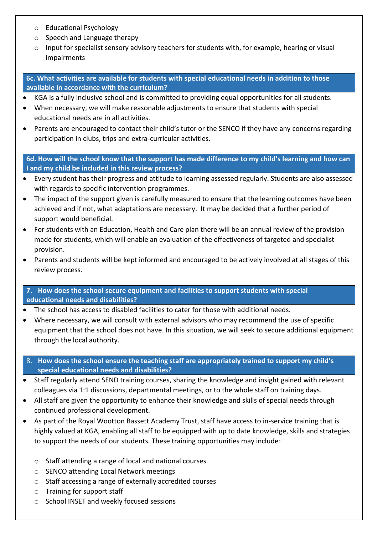- o Educational Psychology
- o Speech and Language therapy
- $\circ$  Input for specialist sensory advisory teachers for students with, for example, hearing or visual impairments

**6c. What activities are available for students with special educational needs in addition to those available in accordance with the curriculum?**

- KGA is a fully inclusive school and is committed to providing equal opportunities for all students.
- When necessary, we will make reasonable adjustments to ensure that students with special educational needs are in all activities.
- Parents are encouraged to contact their child's tutor or the SENCO if they have any concerns regarding participation in clubs, trips and extra-curricular activities.

**6d. How will the school know that the support has made difference to my child's learning and how can I and my child be included in this review process?**

- Every student has their progress and attitude to learning assessed regularly. Students are also assessed with regards to specific intervention programmes.
- The impact of the support given is carefully measured to ensure that the learning outcomes have been achieved and if not, what adaptations are necessary. It may be decided that a further period of support would beneficial.
- For students with an Education, Health and Care plan there will be an annual review of the provision made for students, which will enable an evaluation of the effectiveness of targeted and specialist provision.
- Parents and students will be kept informed and encouraged to be actively involved at all stages of this review process.

**7. How does the school secure equipment and facilities to support students with special educational needs and disabilities?**

- The school has access to disabled facilities to cater for those with additional needs.
- Where necessary, we will consult with external advisors who may recommend the use of specific equipment that the school does not have. In this situation, we will seek to secure additional equipment through the local authority.
- 8. **How does the school ensure the teaching staff are appropriately trained to support my child's special educational needs and disabilities?**
- Staff regularly attend SEND training courses, sharing the knowledge and insight gained with relevant colleagues via 1:1 discussions, departmental meetings, or to the whole staff on training days.
- All staff are given the opportunity to enhance their knowledge and skills of special needs through continued professional development.
- As part of the Royal Wootton Bassett Academy Trust, staff have access to in-service training that is highly valued at KGA, enabling all staff to be equipped with up to date knowledge, skills and strategies to support the needs of our students. These training opportunities may include:
	- o Staff attending a range of local and national courses
	- o SENCO attending Local Network meetings
	- o Staff accessing a range of externally accredited courses
	- o Training for support staff
	- o School INSET and weekly focused sessions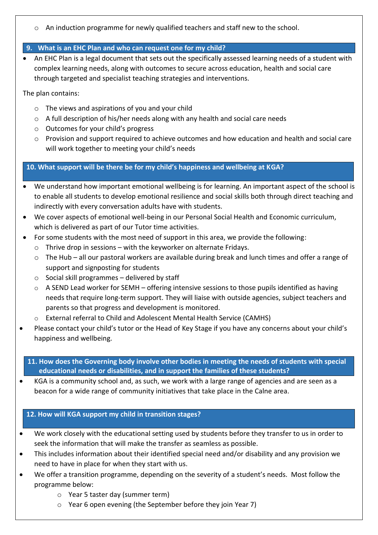o An induction programme for newly qualified teachers and staff new to the school.

# **9. What is an EHC Plan and who can request one for my child?**

• An EHC Plan is a legal document that sets out the specifically assessed learning needs of a student with complex learning needs, along with outcomes to secure across education, health and social care through targeted and specialist teaching strategies and interventions.

The plan contains:

- o The views and aspirations of you and your child
- o A full description of his/her needs along with any health and social care needs
- o Outcomes for your child's progress
- $\circ$  Provision and support required to achieve outcomes and how education and health and social care will work together to meeting your child's needs

**10. What support will be there be for my child's happiness and wellbeing at KGA?** 

- We understand how important emotional wellbeing is for learning. An important aspect of the school is to enable all students to develop emotional resilience and social skills both through direct teaching and indirectly with every conversation adults have with students.
- We cover aspects of emotional well-being in our Personal Social Health and Economic curriculum, which is delivered as part of our Tutor time activities.
- For some students with the most need of support in this area, we provide the following:
	- $\circ$  Thrive drop in sessions with the keyworker on alternate Fridays.
	- $\circ$  The Hub all our pastoral workers are available during break and lunch times and offer a range of support and signposting for students
	- $\circ$  Social skill programmes delivered by staff
	- o A SEND Lead worker for SEMH offering intensive sessions to those pupils identified as having needs that require long-term support. They will liaise with outside agencies, subject teachers and parents so that progress and development is monitored.
	- o External referral to Child and Adolescent Mental Health Service (CAMHS)
- Please contact your child's tutor or the Head of Key Stage if you have any concerns about your child's happiness and wellbeing.
	- **11. How does the Governing body involve other bodies in meeting the needs of students with special educational needs or disabilities, and in support the families of these students?**
- KGA is a community school and, as such, we work with a large range of agencies and are seen as a beacon for a wide range of community initiatives that take place in the Calne area.

#### **12. How will KGA support my child in transition stages?**

- We work closely with the educational setting used by students before they transfer to us in order to seek the information that will make the transfer as seamless as possible.
- This includes information about their identified special need and/or disability and any provision we need to have in place for when they start with us.
- We offer a transition programme, depending on the severity of a student's needs. Most follow the programme below:
	- o Year 5 taster day (summer term)
	- o Year 6 open evening (the September before they join Year 7)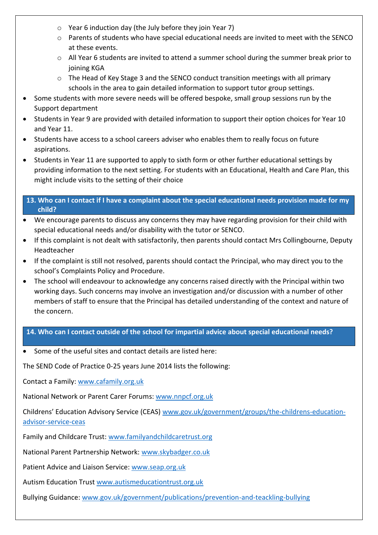- o Year 6 induction day (the July before they join Year 7)
- o Parents of students who have special educational needs are invited to meet with the SENCO at these events.
- $\circ$  All Year 6 students are invited to attend a summer school during the summer break prior to joining KGA
- o The Head of Key Stage 3 and the SENCO conduct transition meetings with all primary schools in the area to gain detailed information to support tutor group settings.
- Some students with more severe needs will be offered bespoke, small group sessions run by the Support department
- Students in Year 9 are provided with detailed information to support their option choices for Year 10 and Year 11.
- Students have access to a school careers adviser who enables them to really focus on future aspirations.
- Students in Year 11 are supported to apply to sixth form or other further educational settings by providing information to the next setting. For students with an Educational, Health and Care Plan, this might include visits to the setting of their choice

#### **13. Who can I contact if I have a complaint about the special educational needs provision made for my child?**

- We encourage parents to discuss any concerns they may have regarding provision for their child with special educational needs and/or disability with the tutor or SENCO.
- If this complaint is not dealt with satisfactorily, then parents should contact Mrs Collingbourne, Deputy Headteacher
- If the complaint is still not resolved, parents should contact the Principal, who may direct you to the school's Complaints Policy and Procedure.
- The school will endeavour to acknowledge any concerns raised directly with the Principal within two working days. Such concerns may involve an investigation and/or discussion with a number of other members of staff to ensure that the Principal has detailed understanding of the context and nature of the concern.

## **14. Who can I contact outside of the school for impartial advice about special educational needs?**

Some of the useful sites and contact details are listed here:

The SEND Code of Practice 0-25 years June 2014 lists the following:

Contact a Family: [www.cafamily.org.uk](http://www.cafamily.org.uk/) 

National Network or Parent Carer Forums: [www.nnpcf.org.uk](http://www.nnpcf.org.uk/) 

Childrens' Education Advisory Service (CEAS) [www.gov.uk/government/groups/the-childrens-education](http://www.gov.uk/government/groups/the-childrens-education-advisor-service-ceas)[advisor-service-ceas](http://www.gov.uk/government/groups/the-childrens-education-advisor-service-ceas) 

Family and Childcare Trust[: www.familyandchildcaretrust.org](http://www.familyandchildcaretrust.org/) 

National Parent Partnership Network: [www.skybadger.co.uk](http://www.skybadger.co.uk/) 

Patient Advice and Liaison Service: [www.seap.org.uk](http://www.seap.org.uk/) 

Autism Education Trust [www.autismeducationtrust.org.uk](http://www.autismeducationtrust.org.uk/) 

Bullying Guidance: [www.gov.uk/government/publications/prevention-and-teackling-bullying](http://www.gov.uk/government/publications/prevention-and-teackling-bullying)